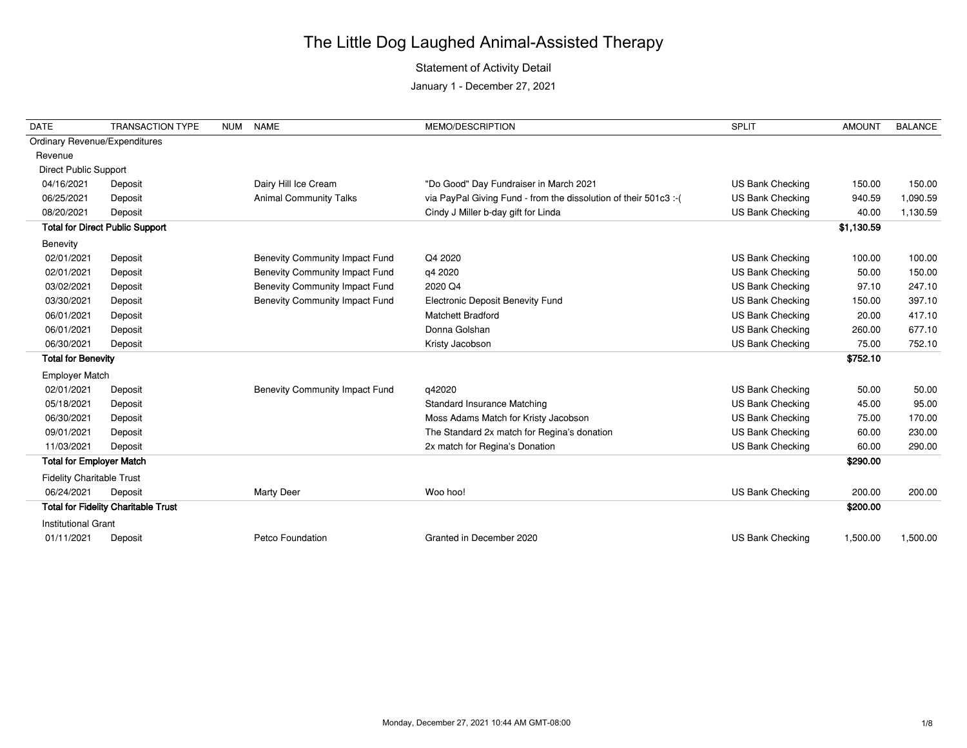### Statement of Activity Detail

| <b>DATE</b>                          | <b>TRANSACTION TYPE</b>                    | <b>NUM</b> | <b>NAME</b>                           | MEMO/DESCRIPTION                                                  | <b>SPLIT</b>            | <b>AMOUNT</b> | <b>BALANCE</b> |
|--------------------------------------|--------------------------------------------|------------|---------------------------------------|-------------------------------------------------------------------|-------------------------|---------------|----------------|
| <b>Ordinary Revenue/Expenditures</b> |                                            |            |                                       |                                                                   |                         |               |                |
| Revenue                              |                                            |            |                                       |                                                                   |                         |               |                |
| <b>Direct Public Support</b>         |                                            |            |                                       |                                                                   |                         |               |                |
| 04/16/2021                           | Deposit                                    |            | Dairy Hill Ice Cream                  | "Do Good" Day Fundraiser in March 2021                            | US Bank Checking        | 150.00        | 150.00         |
| 06/25/2021                           | Deposit                                    |            | <b>Animal Community Talks</b>         | via PayPal Giving Fund - from the dissolution of their 501c3 :- ( | US Bank Checking        | 940.59        | 1,090.59       |
| 08/20/2021                           | Deposit                                    |            |                                       | Cindy J Miller b-day gift for Linda                               | US Bank Checking        | 40.00         | 1,130.59       |
|                                      | <b>Total for Direct Public Support</b>     |            |                                       |                                                                   |                         | \$1,130.59    |                |
| Benevity                             |                                            |            |                                       |                                                                   |                         |               |                |
| 02/01/2021                           | Deposit                                    |            | <b>Benevity Community Impact Fund</b> | Q4 2020                                                           | US Bank Checking        | 100.00        | 100.00         |
| 02/01/2021                           | Deposit                                    |            | <b>Benevity Community Impact Fund</b> | q4 2020                                                           | US Bank Checking        | 50.00         | 150.00         |
| 03/02/2021                           | Deposit                                    |            | <b>Benevity Community Impact Fund</b> | 2020 Q4                                                           | US Bank Checking        | 97.10         | 247.10         |
| 03/30/2021                           | Deposit                                    |            | <b>Benevity Community Impact Fund</b> | <b>Electronic Deposit Benevity Fund</b>                           | US Bank Checking        | 150.00        | 397.10         |
| 06/01/2021                           | Deposit                                    |            |                                       | <b>Matchett Bradford</b>                                          | US Bank Checking        | 20.00         | 417.10         |
| 06/01/2021                           | Deposit                                    |            |                                       | Donna Golshan                                                     | <b>US Bank Checking</b> | 260.00        | 677.10         |
| 06/30/2021                           | Deposit                                    |            |                                       | Kristy Jacobson                                                   | US Bank Checking        | 75.00         | 752.10         |
| <b>Total for Benevity</b>            |                                            |            |                                       |                                                                   |                         | \$752.10      |                |
| <b>Employer Match</b>                |                                            |            |                                       |                                                                   |                         |               |                |
| 02/01/2021                           | Deposit                                    |            | <b>Benevity Community Impact Fund</b> | q42020                                                            | US Bank Checking        | 50.00         | 50.00          |
| 05/18/2021                           | Deposit                                    |            |                                       | <b>Standard Insurance Matching</b>                                | US Bank Checking        | 45.00         | 95.00          |
| 06/30/2021                           | Deposit                                    |            |                                       | Moss Adams Match for Kristy Jacobson                              | US Bank Checking        | 75.00         | 170.00         |
| 09/01/2021                           | Deposit                                    |            |                                       | The Standard 2x match for Regina's donation                       | <b>US Bank Checking</b> | 60.00         | 230.00         |
| 11/03/2021                           | Deposit                                    |            |                                       | 2x match for Regina's Donation                                    | US Bank Checking        | 60.00         | 290.00         |
| <b>Total for Employer Match</b>      |                                            |            |                                       |                                                                   |                         | \$290.00      |                |
| <b>Fidelity Charitable Trust</b>     |                                            |            |                                       |                                                                   |                         |               |                |
| 06/24/2021                           | Deposit                                    |            | <b>Marty Deer</b>                     | Woo hoo!                                                          | US Bank Checking        | 200.00        | 200.00         |
|                                      | <b>Total for Fidelity Charitable Trust</b> |            |                                       |                                                                   |                         | \$200.00      |                |
| <b>Institutional Grant</b>           |                                            |            |                                       |                                                                   |                         |               |                |
| 01/11/2021                           | Deposit                                    |            | Petco Foundation                      | Granted in December 2020                                          | <b>US Bank Checking</b> | 1,500.00      | 1,500.00       |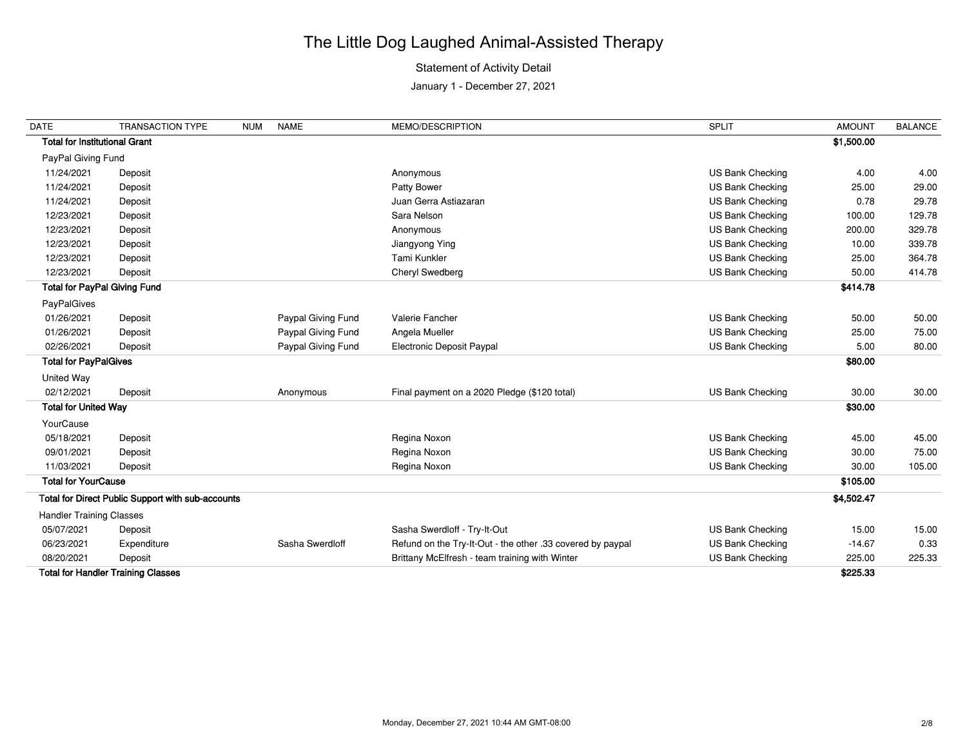### Statement of Activity Detail

| <b>DATE</b>                          | <b>TRANSACTION TYPE</b>                           | <b>NUM</b> | <b>NAME</b>        | MEMO/DESCRIPTION                                           | <b>SPLIT</b>            | <b>AMOUNT</b> | <b>BALANCE</b> |
|--------------------------------------|---------------------------------------------------|------------|--------------------|------------------------------------------------------------|-------------------------|---------------|----------------|
| <b>Total for Institutional Grant</b> |                                                   |            |                    |                                                            |                         | \$1,500.00    |                |
| PayPal Giving Fund                   |                                                   |            |                    |                                                            |                         |               |                |
| 11/24/2021                           | Deposit                                           |            |                    | Anonymous                                                  | US Bank Checking        | 4.00          | 4.00           |
| 11/24/2021                           | Deposit                                           |            |                    | Patty Bower                                                | US Bank Checking        | 25.00         | 29.00          |
| 11/24/2021                           | Deposit                                           |            |                    | Juan Gerra Astiazaran                                      | <b>US Bank Checking</b> | 0.78          | 29.78          |
| 12/23/2021                           | Deposit                                           |            |                    | Sara Nelson                                                | US Bank Checking        | 100.00        | 129.78         |
| 12/23/2021                           | Deposit                                           |            |                    | Anonymous                                                  | US Bank Checking        | 200.00        | 329.78         |
| 12/23/2021                           | Deposit                                           |            |                    | Jiangyong Ying                                             | US Bank Checking        | 10.00         | 339.78         |
| 12/23/2021                           | Deposit                                           |            |                    | Tami Kunkler                                               | US Bank Checking        | 25.00         | 364.78         |
| 12/23/2021                           | Deposit                                           |            |                    | Cheryl Swedberg                                            | US Bank Checking        | 50.00         | 414.78         |
| <b>Total for PayPal Giving Fund</b>  |                                                   |            |                    |                                                            |                         | \$414.78      |                |
| PayPalGives                          |                                                   |            |                    |                                                            |                         |               |                |
| 01/26/2021                           | Deposit                                           |            | Paypal Giving Fund | Valerie Fancher                                            | US Bank Checking        | 50.00         | 50.00          |
| 01/26/2021                           | Deposit                                           |            | Paypal Giving Fund | Angela Mueller                                             | US Bank Checking        | 25.00         | 75.00          |
| 02/26/2021                           | Deposit                                           |            | Paypal Giving Fund | Electronic Deposit Paypal                                  | US Bank Checking        | 5.00          | 80.00          |
| <b>Total for PayPalGives</b>         |                                                   |            |                    |                                                            |                         | \$80.00       |                |
| United Way                           |                                                   |            |                    |                                                            |                         |               |                |
| 02/12/2021                           | Deposit                                           |            | Anonymous          | Final payment on a 2020 Pledge (\$120 total)               | US Bank Checking        | 30.00         | 30.00          |
| <b>Total for United Way</b>          |                                                   |            |                    |                                                            |                         | \$30.00       |                |
| YourCause                            |                                                   |            |                    |                                                            |                         |               |                |
| 05/18/2021                           | Deposit                                           |            |                    | Regina Noxon                                               | US Bank Checking        | 45.00         | 45.00          |
| 09/01/2021                           | Deposit                                           |            |                    | Regina Noxon                                               | US Bank Checking        | 30.00         | 75.00          |
| 11/03/2021                           | Deposit                                           |            |                    | Regina Noxon                                               | US Bank Checking        | 30.00         | 105.00         |
| <b>Total for YourCause</b>           |                                                   |            |                    |                                                            |                         | \$105.00      |                |
|                                      | Total for Direct Public Support with sub-accounts |            |                    |                                                            |                         | \$4,502.47    |                |
| <b>Handler Training Classes</b>      |                                                   |            |                    |                                                            |                         |               |                |
| 05/07/2021                           | Deposit                                           |            |                    | Sasha Swerdloff - Try-It-Out                               | US Bank Checking        | 15.00         | 15.00          |
| 06/23/2021                           | Expenditure                                       |            | Sasha Swerdloff    | Refund on the Try-It-Out - the other .33 covered by paypal | US Bank Checking        | $-14.67$      | 0.33           |
| 08/20/2021                           | Deposit                                           |            |                    | Brittany McElfresh - team training with Winter             | US Bank Checking        | 225.00        | 225.33         |
|                                      | <b>Total for Handler Training Classes</b>         |            |                    |                                                            |                         | \$225.33      |                |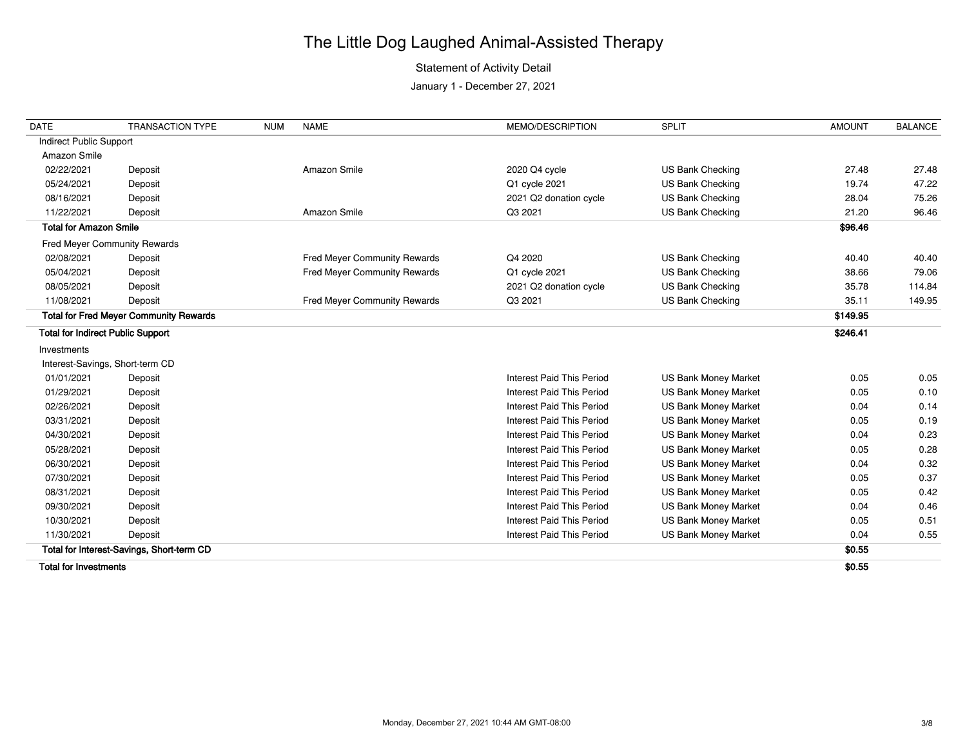### Statement of Activity Detail

January 1 - December 27, 2021

| <b>DATE</b>                              | <b>TRANSACTION TYPE</b>                       | <b>NUM</b> | <b>NAME</b>                  | MEMO/DESCRIPTION                 | <b>SPLIT</b>                | <b>AMOUNT</b> | <b>BALANCE</b> |
|------------------------------------------|-----------------------------------------------|------------|------------------------------|----------------------------------|-----------------------------|---------------|----------------|
| Indirect Public Support                  |                                               |            |                              |                                  |                             |               |                |
| Amazon Smile                             |                                               |            |                              |                                  |                             |               |                |
| 02/22/2021                               | Deposit                                       |            | Amazon Smile                 | 2020 Q4 cycle                    | US Bank Checking            | 27.48         | 27.48          |
| 05/24/2021                               | Deposit                                       |            |                              | Q1 cycle 2021                    | <b>US Bank Checking</b>     | 19.74         | 47.22          |
| 08/16/2021                               | Deposit                                       |            |                              | 2021 Q2 donation cycle           | US Bank Checking            | 28.04         | 75.26          |
| 11/22/2021                               | Deposit                                       |            | Amazon Smile                 | Q3 2021                          | <b>US Bank Checking</b>     | 21.20         | 96.46          |
| <b>Total for Amazon Smile</b>            |                                               |            |                              |                                  |                             | \$96.46       |                |
| Fred Meyer Community Rewards             |                                               |            |                              |                                  |                             |               |                |
| 02/08/2021                               | Deposit                                       |            | Fred Meyer Community Rewards | Q4 2020                          | US Bank Checking            | 40.40         | 40.40          |
| 05/04/2021                               | Deposit                                       |            | Fred Meyer Community Rewards | Q1 cycle 2021                    | <b>US Bank Checking</b>     | 38.66         | 79.06          |
| 08/05/2021                               | Deposit                                       |            |                              | 2021 Q2 donation cycle           | US Bank Checking            | 35.78         | 114.84         |
| 11/08/2021                               | Deposit                                       |            | Fred Meyer Community Rewards | Q3 2021                          | <b>US Bank Checking</b>     | 35.11         | 149.95         |
|                                          | <b>Total for Fred Meyer Community Rewards</b> |            |                              |                                  |                             | \$149.95      |                |
| <b>Total for Indirect Public Support</b> |                                               |            |                              |                                  |                             | \$246.41      |                |
| Investments                              |                                               |            |                              |                                  |                             |               |                |
| Interest-Savings, Short-term CD          |                                               |            |                              |                                  |                             |               |                |
| 01/01/2021                               | Deposit                                       |            |                              | Interest Paid This Period        | <b>US Bank Money Market</b> | 0.05          | 0.05           |
| 01/29/2021                               | Deposit                                       |            |                              | <b>Interest Paid This Period</b> | <b>US Bank Money Market</b> | 0.05          | 0.10           |
| 02/26/2021                               | Deposit                                       |            |                              | <b>Interest Paid This Period</b> | <b>US Bank Money Market</b> | 0.04          | 0.14           |
| 03/31/2021                               | Deposit                                       |            |                              | <b>Interest Paid This Period</b> | <b>US Bank Money Market</b> | 0.05          | 0.19           |
| 04/30/2021                               | Deposit                                       |            |                              | <b>Interest Paid This Period</b> | <b>US Bank Money Market</b> | 0.04          | 0.23           |
| 05/28/2021                               | Deposit                                       |            |                              | <b>Interest Paid This Period</b> | <b>US Bank Money Market</b> | 0.05          | 0.28           |
| 06/30/2021                               | Deposit                                       |            |                              | Interest Paid This Period        | <b>US Bank Money Market</b> | 0.04          | 0.32           |
| 07/30/2021                               | Deposit                                       |            |                              | Interest Paid This Period        | <b>US Bank Money Market</b> | 0.05          | 0.37           |
| 08/31/2021                               | Deposit                                       |            |                              | <b>Interest Paid This Period</b> | <b>US Bank Money Market</b> | 0.05          | 0.42           |
| 09/30/2021                               | Deposit                                       |            |                              | <b>Interest Paid This Period</b> | <b>US Bank Money Market</b> | 0.04          | 0.46           |
| 10/30/2021                               | Deposit                                       |            |                              | <b>Interest Paid This Period</b> | <b>US Bank Money Market</b> | 0.05          | 0.51           |
| 11/30/2021                               | Deposit                                       |            |                              | <b>Interest Paid This Period</b> | <b>US Bank Money Market</b> | 0.04          | 0.55           |
|                                          | Total for Interest-Savings, Short-term CD     |            |                              |                                  |                             | \$0.55        |                |
|                                          |                                               |            |                              |                                  |                             |               |                |

**Total for Investments \$0.55**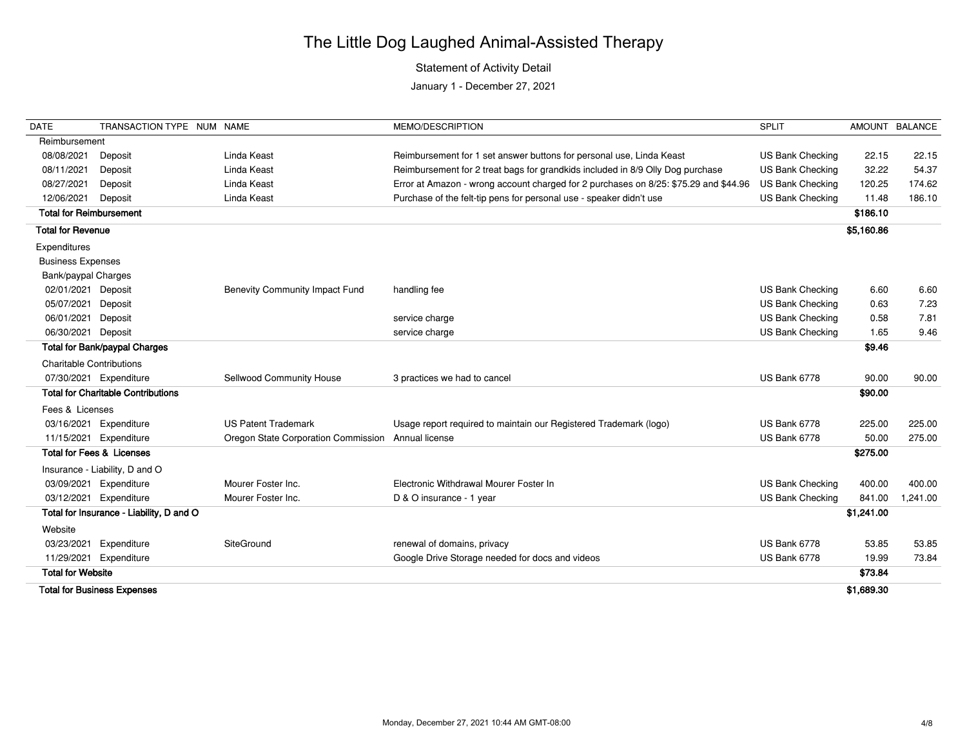### Statement of Activity Detail

| <b>DATE</b>                    | TRANSACTION TYPE NUM NAME                 |                                                    | MEMO/DESCRIPTION                                                                     | <b>SPLIT</b>            |            | AMOUNT BALANCE |
|--------------------------------|-------------------------------------------|----------------------------------------------------|--------------------------------------------------------------------------------------|-------------------------|------------|----------------|
| Reimbursement                  |                                           |                                                    |                                                                                      |                         |            |                |
| 08/08/2021                     | Deposit                                   | Linda Keast                                        | Reimbursement for 1 set answer buttons for personal use, Linda Keast                 | US Bank Checking        | 22.15      | 22.15          |
| 08/11/2021                     | Deposit                                   | Linda Keast                                        | Reimbursement for 2 treat bags for grandkids included in 8/9 Olly Dog purchase       | US Bank Checking        | 32.22      | 54.37          |
| 08/27/2021                     | Deposit                                   | Linda Keast                                        | Error at Amazon - wrong account charged for 2 purchases on 8/25: \$75.29 and \$44.96 | US Bank Checking        | 120.25     | 174.62         |
| 12/06/2021                     | Deposit                                   | Linda Keast                                        | Purchase of the felt-tip pens for personal use - speaker didn't use                  | US Bank Checking        | 11.48      | 186.10         |
| <b>Total for Reimbursement</b> |                                           |                                                    |                                                                                      |                         | \$186.10   |                |
| <b>Total for Revenue</b>       |                                           |                                                    |                                                                                      |                         | \$5,160.86 |                |
| Expenditures                   |                                           |                                                    |                                                                                      |                         |            |                |
| <b>Business Expenses</b>       |                                           |                                                    |                                                                                      |                         |            |                |
| Bank/paypal Charges            |                                           |                                                    |                                                                                      |                         |            |                |
| 02/01/2021 Deposit             |                                           | <b>Benevity Community Impact Fund</b>              | handling fee                                                                         | <b>US Bank Checking</b> | 6.60       | 6.60           |
| 05/07/2021                     | Deposit                                   |                                                    |                                                                                      | <b>US Bank Checking</b> | 0.63       | 7.23           |
| 06/01/2021                     | Deposit                                   |                                                    | service charge                                                                       | <b>US Bank Checking</b> | 0.58       | 7.81           |
| 06/30/2021 Deposit             |                                           |                                                    | service charge                                                                       | US Bank Checking        | 1.65       | 9.46           |
|                                | <b>Total for Bank/paypal Charges</b>      |                                                    |                                                                                      |                         | \$9.46     |                |
|                                | <b>Charitable Contributions</b>           |                                                    |                                                                                      |                         |            |                |
|                                | 07/30/2021 Expenditure                    | Sellwood Community House                           | 3 practices we had to cancel                                                         | US Bank 6778            | 90.00      | 90.00          |
|                                | <b>Total for Charitable Contributions</b> |                                                    |                                                                                      |                         | \$90.00    |                |
| Fees & Licenses                |                                           |                                                    |                                                                                      |                         |            |                |
| 03/16/2021                     | Expenditure                               | <b>US Patent Trademark</b>                         | Usage report required to maintain our Registered Trademark (logo)                    | US Bank 6778            | 225.00     | 225.00         |
| 11/15/2021                     | Expenditure                               | Oregon State Corporation Commission Annual license |                                                                                      | US Bank 6778            | 50.00      | 275.00         |
|                                | <b>Total for Fees &amp; Licenses</b>      |                                                    |                                                                                      |                         | \$275.00   |                |
|                                | Insurance - Liability, D and O            |                                                    |                                                                                      |                         |            |                |
| 03/09/2021                     | Expenditure                               | Mourer Foster Inc.                                 | Electronic Withdrawal Mourer Foster In                                               | <b>US Bank Checking</b> | 400.00     | 400.00         |
| 03/12/2021                     | Expenditure                               | Mourer Foster Inc.                                 | D & O insurance - 1 year                                                             | US Bank Checking        | 841.00     | 1,241.00       |
|                                | Total for Insurance - Liability, D and O  |                                                    |                                                                                      |                         | \$1,241.00 |                |
| Website                        |                                           |                                                    |                                                                                      |                         |            |                |
| 03/23/2021                     | Expenditure                               | SiteGround                                         | renewal of domains, privacy                                                          | <b>US Bank 6778</b>     | 53.85      | 53.85          |
| 11/29/2021                     | Expenditure                               |                                                    | Google Drive Storage needed for docs and videos                                      | US Bank 6778            | 19.99      | 73.84          |
| <b>Total for Website</b>       |                                           |                                                    |                                                                                      |                         | \$73.84    |                |
|                                | <b>Total for Business Expenses</b>        |                                                    |                                                                                      |                         | \$1,689.30 |                |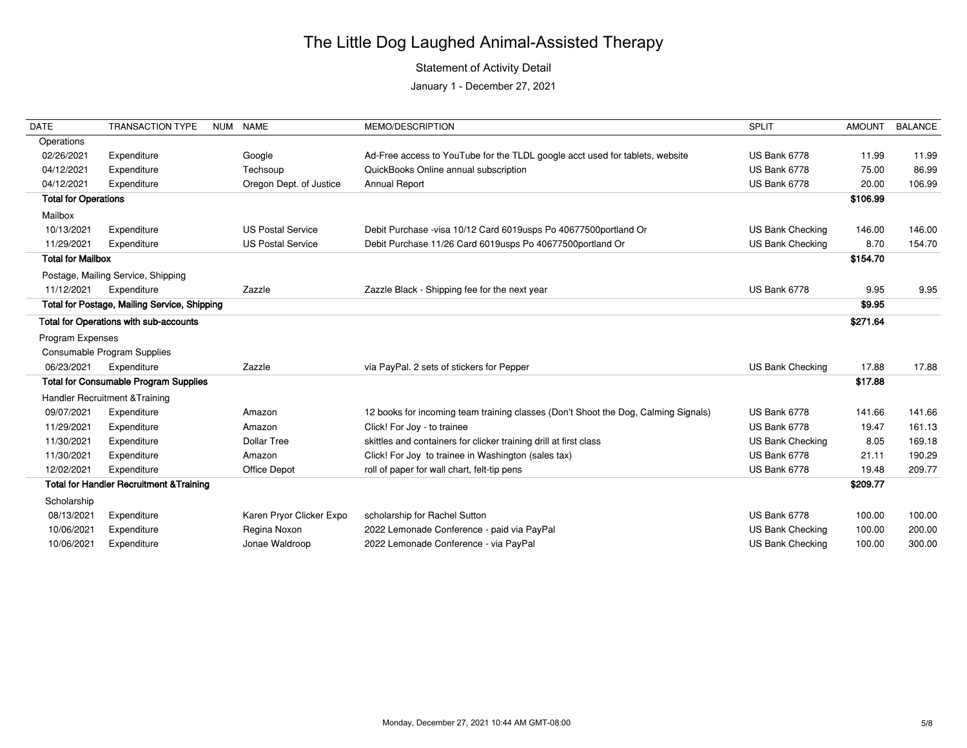### Statement of Activity Detail

| <b>DATE</b>                 | <b>TRANSACTION TYPE</b>                             | NUM NAME                 | MEMO/DESCRIPTION                                                                   | <b>SPLIT</b>     | <b>AMOUNT</b> | <b>BALANCE</b> |
|-----------------------------|-----------------------------------------------------|--------------------------|------------------------------------------------------------------------------------|------------------|---------------|----------------|
| Operations                  |                                                     |                          |                                                                                    |                  |               |                |
| 02/26/2021                  | Expenditure                                         | Google                   | Ad-Free access to YouTube for the TLDL google acct used for tablets, website       | US Bank 6778     | 11.99         | 11.99          |
| 04/12/2021                  | Expenditure                                         | Techsoup                 | QuickBooks Online annual subscription                                              | US Bank 6778     | 75.00         | 86.99          |
| 04/12/2021                  | Expenditure                                         | Oregon Dept. of Justice  | <b>Annual Report</b>                                                               | US Bank 6778     | 20.00         | 106.99         |
| <b>Total for Operations</b> |                                                     |                          |                                                                                    |                  | \$106.99      |                |
| Mailbox                     |                                                     |                          |                                                                                    |                  |               |                |
| 10/13/2021                  | Expenditure                                         | <b>US Postal Service</b> | Debit Purchase -visa 10/12 Card 6019usps Po 40677500portland Or                    | US Bank Checking | 146.00        | 146.00         |
| 11/29/2021                  | Expenditure                                         | <b>US Postal Service</b> | Debit Purchase 11/26 Card 6019usps Po 40677500portland Or                          | US Bank Checking | 8.70          | 154.70         |
| <b>Total for Mailbox</b>    |                                                     |                          |                                                                                    |                  | \$154.70      |                |
|                             | Postage, Mailing Service, Shipping                  |                          |                                                                                    |                  |               |                |
| 11/12/2021                  | Expenditure                                         | Zazzle                   | Zazzle Black - Shipping fee for the next year                                      | US Bank 6778     | 9.95          | 9.95           |
|                             | Total for Postage, Mailing Service, Shipping        |                          |                                                                                    |                  | \$9.95        |                |
|                             | Total for Operations with sub-accounts              |                          |                                                                                    |                  | \$271.64      |                |
| Program Expenses            |                                                     |                          |                                                                                    |                  |               |                |
|                             | Consumable Program Supplies                         |                          |                                                                                    |                  |               |                |
| 06/23/2021                  | Expenditure                                         | Zazzle                   | via PayPal. 2 sets of stickers for Pepper                                          | US Bank Checking | 17.88         | 17.88          |
|                             | <b>Total for Consumable Program Supplies</b>        |                          |                                                                                    |                  | \$17.88       |                |
|                             | <b>Handler Recruitment &amp; Training</b>           |                          |                                                                                    |                  |               |                |
| 09/07/2021                  | Expenditure                                         | Amazon                   | 12 books for incoming team training classes (Don't Shoot the Dog, Calming Signals) | US Bank 6778     | 141.66        | 141.66         |
| 11/29/2021                  | Expenditure                                         | Amazon                   | Click! For Joy - to trainee                                                        | US Bank 6778     | 19.47         | 161.13         |
| 11/30/2021                  | Expenditure                                         | <b>Dollar Tree</b>       | skittles and containers for clicker training drill at first class                  | US Bank Checking | 8.05          | 169.18         |
| 11/30/2021                  | Expenditure                                         | Amazon                   | Click! For Joy to trainee in Washington (sales tax)                                | US Bank 6778     | 21.11         | 190.29         |
| 12/02/2021                  | Expenditure                                         | Office Depot             | roll of paper for wall chart, felt-tip pens                                        | US Bank 6778     | 19.48         | 209.77         |
|                             | <b>Total for Handler Recruitment &amp; Training</b> |                          |                                                                                    |                  | \$209.77      |                |
| Scholarship                 |                                                     |                          |                                                                                    |                  |               |                |
| 08/13/2021                  | Expenditure                                         | Karen Pryor Clicker Expo | scholarship for Rachel Sutton                                                      | US Bank 6778     | 100.00        | 100.00         |
| 10/06/2021                  | Expenditure                                         | Regina Noxon             | 2022 Lemonade Conference - paid via PayPal                                         | US Bank Checking | 100.00        | 200.00         |
| 10/06/2021                  | Expenditure                                         | Jonae Waldroop           | 2022 Lemonade Conference - via PayPal                                              | US Bank Checking | 100.00        | 300.00         |
|                             |                                                     |                          |                                                                                    |                  |               |                |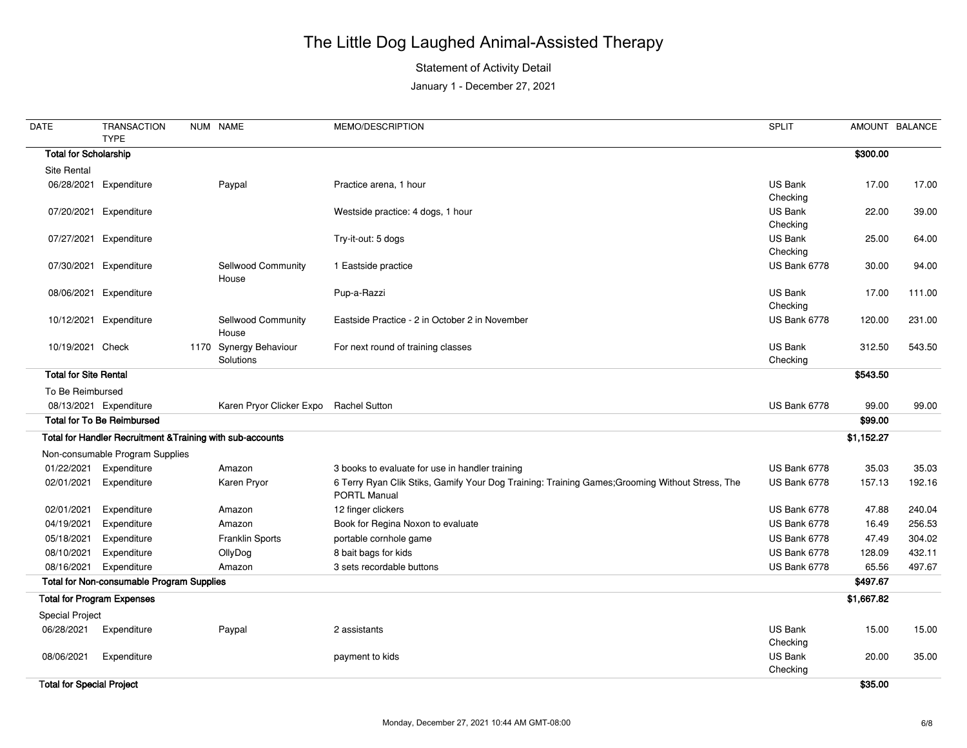### Statement of Activity Detail

| <b>DATE</b>                      | <b>TRANSACTION</b><br><b>TYPE</b>                          | NUM NAME                               | MEMO/DESCRIPTION                                                                                                       | <b>SPLIT</b>               |            | AMOUNT BALANCE |
|----------------------------------|------------------------------------------------------------|----------------------------------------|------------------------------------------------------------------------------------------------------------------------|----------------------------|------------|----------------|
| <b>Total for Scholarship</b>     |                                                            |                                        |                                                                                                                        |                            | \$300.00   |                |
| Site Rental                      |                                                            |                                        |                                                                                                                        |                            |            |                |
|                                  | 06/28/2021 Expenditure                                     | Paypal                                 | Practice arena, 1 hour                                                                                                 | <b>US Bank</b>             | 17.00      | 17.00          |
|                                  |                                                            |                                        |                                                                                                                        | Checking                   |            |                |
|                                  | 07/20/2021 Expenditure                                     |                                        | Westside practice: 4 dogs, 1 hour                                                                                      | <b>US Bank</b>             | 22.00      | 39.00          |
|                                  |                                                            |                                        |                                                                                                                        | Checking                   |            |                |
|                                  | 07/27/2021 Expenditure                                     |                                        | Try-it-out: 5 dogs                                                                                                     | <b>US Bank</b>             | 25.00      | 64.00          |
|                                  |                                                            |                                        |                                                                                                                        | Checking                   |            |                |
|                                  | 07/30/2021 Expenditure                                     | Sellwood Community<br>House            | 1 Eastside practice                                                                                                    | US Bank 6778               | 30.00      | 94.00          |
|                                  | 08/06/2021 Expenditure                                     |                                        | Pup-a-Razzi                                                                                                            | <b>US Bank</b>             | 17.00      | 111.00         |
|                                  |                                                            |                                        |                                                                                                                        | Checking                   |            |                |
|                                  | 10/12/2021 Expenditure                                     | Sellwood Community<br>House            | Eastside Practice - 2 in October 2 in November                                                                         | US Bank 6778               | 120.00     | 231.00         |
| 10/19/2021 Check                 |                                                            | 1170 Synergy Behaviour<br>Solutions    | For next round of training classes                                                                                     | <b>US Bank</b><br>Checking | 312.50     | 543.50         |
| <b>Total for Site Rental</b>     |                                                            |                                        |                                                                                                                        |                            | \$543.50   |                |
| To Be Reimbursed                 |                                                            |                                        |                                                                                                                        |                            |            |                |
|                                  | 08/13/2021 Expenditure                                     | Karen Pryor Clicker Expo Rachel Sutton |                                                                                                                        | US Bank 6778               | 99.00      | 99.00          |
|                                  | <b>Total for To Be Reimbursed</b>                          |                                        |                                                                                                                        |                            | \$99.00    |                |
|                                  | Total for Handler Recruitment & Training with sub-accounts |                                        |                                                                                                                        |                            | \$1,152.27 |                |
|                                  | Non-consumable Program Supplies                            |                                        |                                                                                                                        |                            |            |                |
| 01/22/2021                       | Expenditure                                                | Amazon                                 | 3 books to evaluate for use in handler training                                                                        | US Bank 6778               | 35.03      | 35.03          |
| 02/01/2021                       | Expenditure                                                | Karen Pryor                            | 6 Terry Ryan Clik Stiks, Gamify Your Dog Training: Training Games; Grooming Without Stress, The<br><b>PORTL Manual</b> | US Bank 6778               | 157.13     | 192.16         |
| 02/01/2021                       | Expenditure                                                | Amazon                                 | 12 finger clickers                                                                                                     | US Bank 6778               | 47.88      | 240.04         |
| 04/19/2021                       | Expenditure                                                | Amazon                                 | Book for Regina Noxon to evaluate                                                                                      | US Bank 6778               | 16.49      | 256.53         |
| 05/18/2021                       | Expenditure                                                | Franklin Sports                        | portable cornhole game                                                                                                 | US Bank 6778               | 47.49      | 304.02         |
| 08/10/2021                       | Expenditure                                                | OllyDog                                | 8 bait bags for kids                                                                                                   | US Bank 6778               | 128.09     | 432.11         |
| 08/16/2021                       | Expenditure                                                | Amazon                                 | 3 sets recordable buttons                                                                                              | US Bank 6778               | 65.56      | 497.67         |
|                                  | <b>Total for Non-consumable Program Supplies</b>           |                                        |                                                                                                                        |                            | \$497.67   |                |
|                                  | <b>Total for Program Expenses</b>                          |                                        |                                                                                                                        |                            | \$1,667.82 |                |
| <b>Special Project</b>           |                                                            |                                        |                                                                                                                        |                            |            |                |
|                                  | 06/28/2021 Expenditure                                     | Paypal                                 | 2 assistants                                                                                                           | US Bank                    | 15.00      | 15.00          |
|                                  |                                                            |                                        |                                                                                                                        | Checking                   |            |                |
| 08/06/2021                       | Expenditure                                                |                                        | payment to kids                                                                                                        | US Bank                    | 20.00      | 35.00          |
|                                  |                                                            |                                        |                                                                                                                        | Checking                   |            |                |
| <b>Total for Special Project</b> |                                                            |                                        |                                                                                                                        |                            | \$35.00    |                |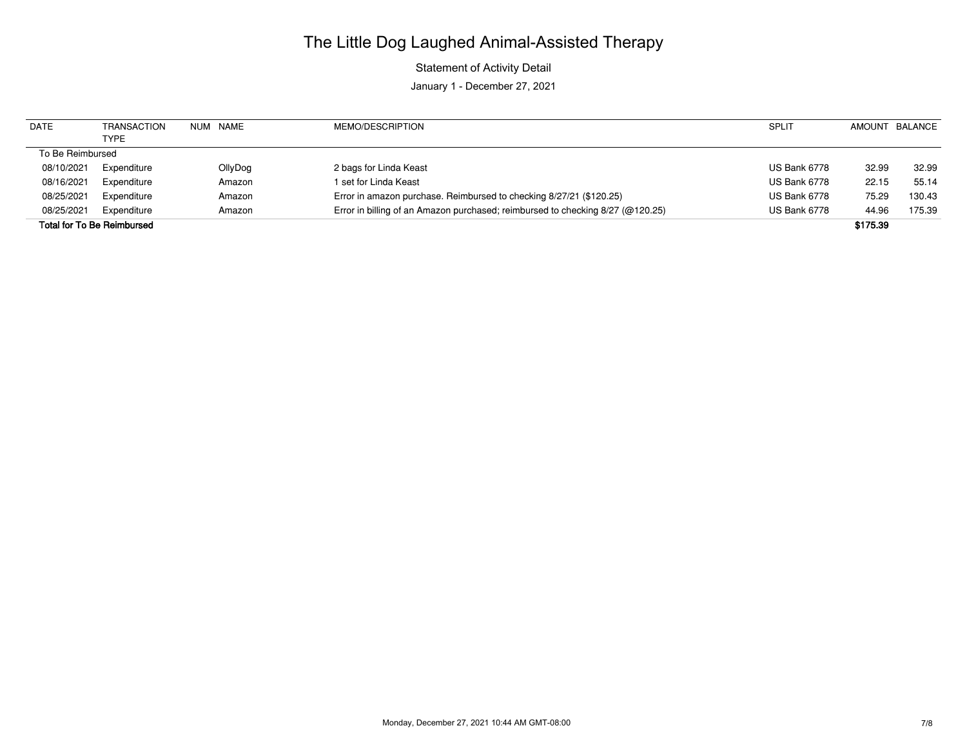Statement of Activity Detail

| <b>DATE</b>      | <b>TRANSACTION</b>                | NUM NAME | MEMO/DESCRIPTION                                                               | <b>SPLIT</b> |          | AMOUNT BALANCE |
|------------------|-----------------------------------|----------|--------------------------------------------------------------------------------|--------------|----------|----------------|
|                  | <b>TYPE</b>                       |          |                                                                                |              |          |                |
| To Be Reimbursed |                                   |          |                                                                                |              |          |                |
| 08/10/2021       | Expenditure                       | OllyDog  | 2 bags for Linda Keast                                                         | US Bank 6778 | 32.99    | 32.99          |
| 08/16/2021       | Expenditure                       | Amazon   | 1 set for Linda Keast                                                          | US Bank 6778 | 22.15    | 55.14          |
| 08/25/2021       | Expenditure                       | Amazon   | Error in amazon purchase. Reimbursed to checking 8/27/21 (\$120.25)            | US Bank 6778 | 75.29    | 130.43         |
| 08/25/2021       | Expenditure                       | Amazon   | Error in billing of an Amazon purchased; reimbursed to checking 8/27 (@120.25) | US Bank 6778 | 44.96    | 175.39         |
|                  | <b>Total for To Be Reimbursed</b> |          |                                                                                |              | \$175.39 |                |